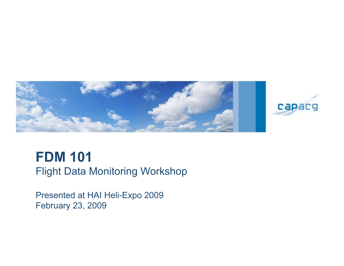

### **FDM 101** Flight Data Monitoring Workshop

Presented at HAI Heli-Expo 2009 February 23, 2009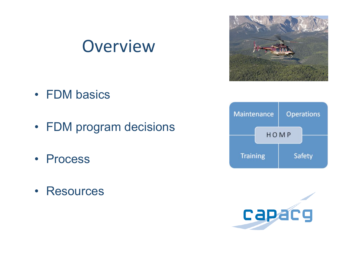## Overview

- FDM basics
- FDM program decisions
- Process
- Resources





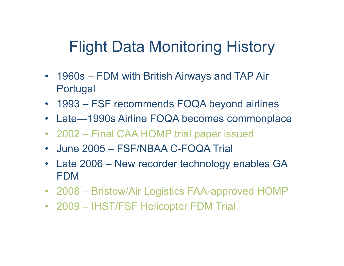## Flight Data Monitoring History

- 1960s FDM with British Airways and TAP Air Portugal
- 1993 FSF recommends FOQA beyond airlines
- Late—1990s Airline FOQA becomes commonplace
- 2002 Final CAA HOMP trial paper issued
- June 2005 FSF/NBAA C-FOQA Trial
- Late 2006 New recorder technology enables GA FDM
- 2008 Bristow/Air Logistics FAA-approved HOMP
- 2009 IHST/FSF Helicopter FDM Trial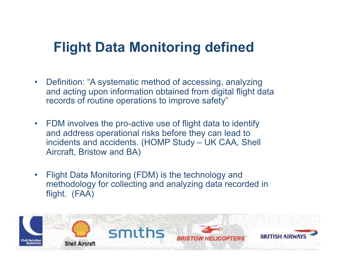### **Flight Data Monitoring defined**

- Definition: "A systematic method of accessing, analyzing and acting upon information obtained from digital flight data records of routine operations to improve safety"
- FDM involves the pro-active use of flight data to identify and address operational risks before they can lead to incidents and accidents. (HOMP Study – UK CAA, Shell Aircraft, Bristow and BA)
- Flight Data Monitoring (FDM) is the technology and methodology for collecting and analyzing data recorded in flight. (FAA)

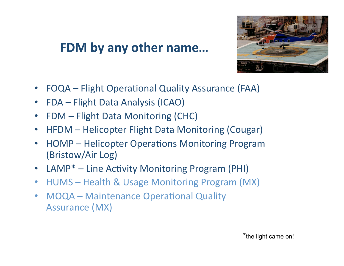### FDM by any other name...



- **FOQA** Flight Operational Quality Assurance (FAA)
- **FDA Flight Data Analysis (ICAO)**  $\bullet$
- **FDM** Flight Data Monitoring (CHC)  $\bullet$
- HFDM Helicopter Flight Data Monitoring (Cougar)  $\bullet$
- **HOMP Helicopter Operations Monitoring Program**  $\bullet$ (Bristow/Air Log)
- LAMP\* Line Activity Monitoring Program (PHI)
- HUMS Health & Usage Monitoring Program (MX)
- **MOQA Maintenance Operational Quality**  $\bullet$ **Assurance (MX)**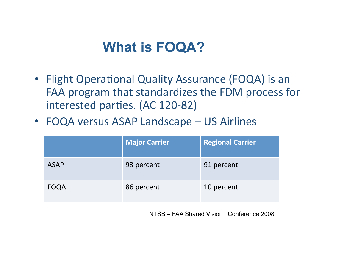### **What is FOQA?**

- Flight Operational Quality Assurance (FOQA) is an FAA program that standardizes the FDM process for interested parties. (AC 120-82)
- FOQA versus ASAP Landscape US Airlines

|             | <b>Major Carrier</b> | <b>Regional Carrier</b> |
|-------------|----------------------|-------------------------|
| <b>ASAP</b> | 93 percent           | 91 percent              |
| <b>FOQA</b> | 86 percent           | 10 percent              |

NTSB - FAA Shared Vision Conference 2008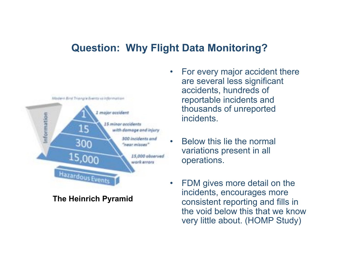#### **Question: Why Flight Data Monitoring?**



**The Heinrich Pyramid** 

- For every major accident there are several less significant accidents, hundreds of reportable incidents and thousands of unreported incidents.
- Below this lie the normal variations present in all operations.
- FDM gives more detail on the incidents, encourages more consistent reporting and fills in the void below this that we know very little about. (HOMP Study)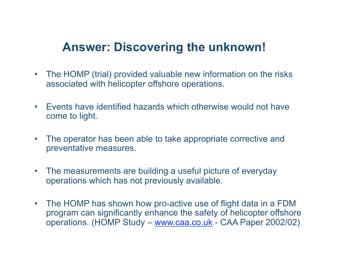#### **Answer: Discovering the unknown!**

- The HOMP (trial) provided valuable new information on the risks associated with helicopter offshore operations.
- Events have identified hazards which otherwise would not have come to light.
- The operator has been able to take appropriate corrective and preventative measures.
- The measurements are building a useful picture of everyday operations which has not previously available.
- The HOMP has shown how pro-active use of flight data in a FDM program can significantly enhance the safety of helicopter offshore operations. (HOMP Study – www.caa.co.uk - CAA Paper 2002/02)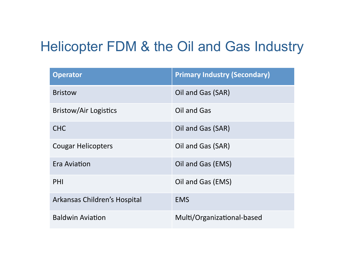### Helicopter FDM & the Oil and Gas Industry

| <b>Operator</b>              | <b>Primary Industry (Secondary)</b> |
|------------------------------|-------------------------------------|
| <b>Bristow</b>               | Oil and Gas (SAR)                   |
| <b>Bristow/Air Logistics</b> | Oil and Gas                         |
| <b>CHC</b>                   | Oil and Gas (SAR)                   |
| <b>Cougar Helicopters</b>    | Oil and Gas (SAR)                   |
| Era Aviation                 | Oil and Gas (EMS)                   |
| PHI                          | Oil and Gas (EMS)                   |
| Arkansas Children's Hospital | <b>EMS</b>                          |
| <b>Baldwin Aviation</b>      | Multi/Organizational-based          |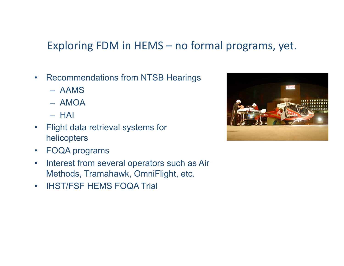#### Exploring FDM in  $HEMS -$  no formal programs, yet.

- Recommendations from NTSB Hearings
	- AAMS
	- AMOA
	- HAI
- Flight data retrieval systems for helicopters
- FOQA programs
- Interest from several operators such as Air Methods, Tramahawk, OmniFlight, etc.
- IHST/FSF HEMS FOQA Trial

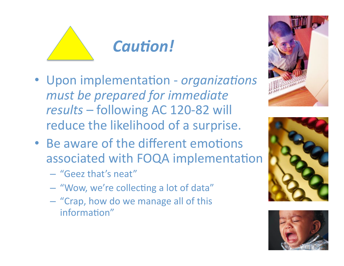

- Upon implementation organizations must be prepared for immediate results - following AC 120-82 will reduce the likelihood of a surprise.
- Be aware of the different emotions associated with FOQA implementation
	- "Geez that's neat"
	- "Wow, we're collecting a lot of data"
	- "Crap, how do we manage all of this information"





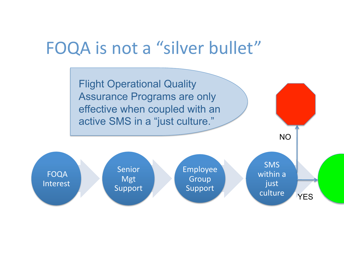### FOQA is not a "silver bullet"

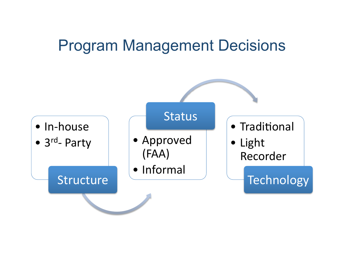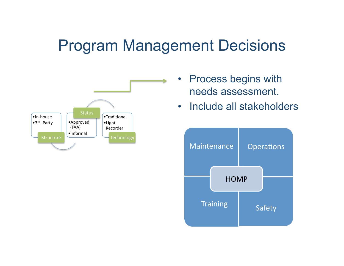

- **Process begins with** needs assessment.
- Include all stakeholders  $\bullet$

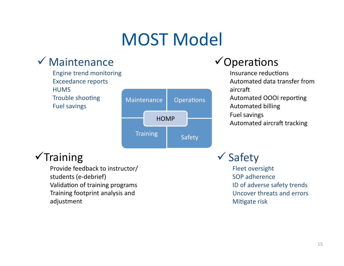# **MOST Model**

**Operations** 

Safety

### $\checkmark$  Maintenance

- **Engine trend monitoring Exceedance reports HUMS**
- Trouble shooting
- Maintenance **Fuel savings HOMP**

**Training** 

#### $\checkmark$ Operations

Insurance reductions Automated data transfer from aircraft Automated OOOI reporting **Automated billing Fuel savings** Automated aircraft tracking

### $\sqrt{\text{Training}}$

Provide feedback to instructor/ students (e-debrief) Validation of training programs Training footprint analysis and adjustment

 $\checkmark$  Safety

Fleet oversight SOP adherence ID of adverse safety trends **Uncover threats and errors** Mitigate risk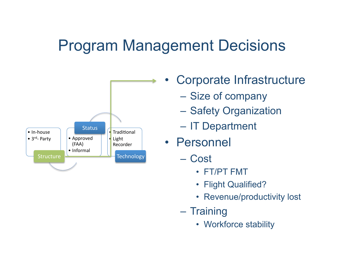

• Corporate Infrastructure

- Size of company
- Safety Organization
- IT Department
- Personnel
	- Cost
		- FT/PT FMT
		- Flight Qualified?
		- Revenue/productivity lost
	- Training
		- Workforce stability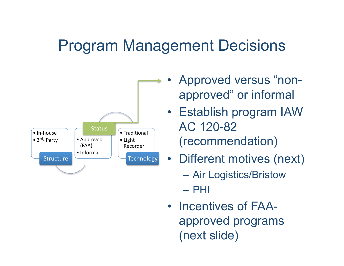

- Approved versus "nonapproved" or informal
- Establish program IAW AC 120-82 (recommendation)
- Different motives (next)
	- Air Logistics/Bristow

– PHI

• Incentives of FAAapproved programs (next slide)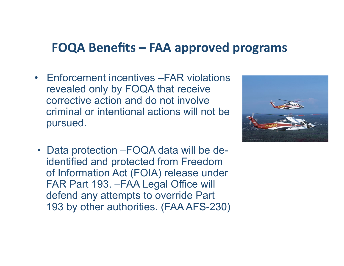#### **FOQA Benefits – FAA approved programs**

• Enforcement incentives –FAR violations revealed only by FOQA that receive corrective action and do not involve criminal or intentional actions will not be pursued.



 • Data protection –FOQA data will be deidentified and protected from Freedom of Information Act (FOIA) release under FAR Part 193. –FAA Legal Office will defend any attempts to override Part 193 by other authorities. (FAA AFS-230)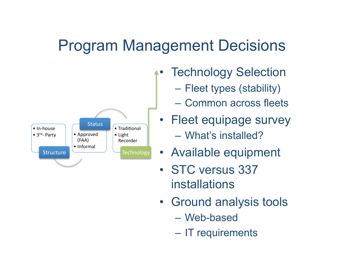

- **Technology Selection** 
	- Fleet types (stability)
	- Common across fleets
- Fleet equipage survey – What's installed?
- Available equipment
- STC versus 337 installations
- Ground analysis tools
	- Web-based
	- IT requirements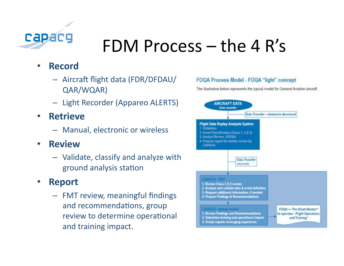

# FDM Process  $-$  the 4 R's

#### **Record**

- Aircraft flight data (FDR/DFDAU/ QAR/WQAR)
- Light Recorder (Appareo ALERTS)
- **Retrieve**  $\bullet$ 
	- Manual, electronic or wireless
- **Review**  $\bullet$ 
	- Validate, classify and analyze with ground analysis station

#### **Report**

- FMT review, meaningful findings and recommendations, group review to determine operational and training impact.

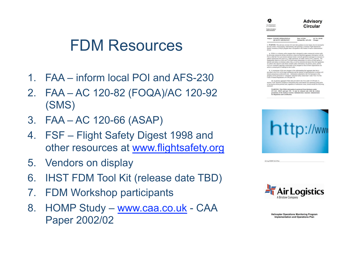### FDM Resources

- 1. FAA inform local POI and AFS-230
- 2. FAA AC 120-82 (FOQA)/AC 120-92 (SMS)
- 3. FAA AC 120-66 (ASAP)
- 4. FSF Flight Safety Digest 1998 and other resources at www.flightsafety.org
- 5. Vendors on display
- 6. IHST FDM Tool Kit (release date TBD)
- 7. FDM Workshop participants
- 8. HOMP Study www.caa.co.uk CAA Paper 2002/02



Air Lou (HOMP ) & O Plus



Subject: FLIGHT OPERATIONAL<br>QUALITY ASSURANCE Date: 4/12/04 AC No: 120-82<br>Initiated By: AFS-230 Change:

1. PURPOSE. This advisory circular (AC) provides guidance on one means, but not nee

1. PURPOSE. This advisory circular (AC) provides guidance on one means, but not necessar<br>the only means, of developing, implementing, and operating a voluntary Flight Operational<br>Quality Assumnee (FOQA) program that is acc

 $\bf k$  FOQA is a vehentary safety program that is designed to make commercial aviation safety after the same of plots in the selection appear information of the AA, can mention assigned in investig operation of the AA can

.<br>A connerstone of this new program is the understanding that aggregate data that is<br>ided to the FAA will be kept confidential and the identity of reporting pilots or arifines will<br>in anonymous as allowed by law. Informati sgram will be protected as "voluntarily submitted safety related data" under Title 14 of the<br>de of Federal Regulations (14 CFR) part 193.

(1) In general, aggregate FOQA data provided to the FAA under 14 CFR part 13,<br>ion 13.401 should be stripped of information that onuld identify the submitting airline prior<br>aving the airline premises and, regardless of subm

 $\textbf{W} \textbf{ARNING}$ : This FOQA information is protected from distinuare under<br> $69$ U.S.C. 60123 and part 195. It range be released only with the written<br>permission of the Federal Aviation Afrainistration Associate Administrat





**Helicopter Operations Monitoring Program** Implementation and Operations Plan